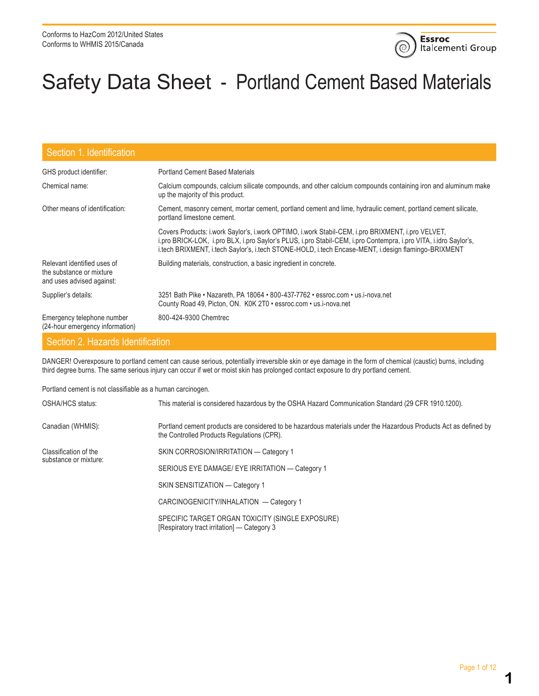

# Safety Data Sheet - Portland Cement Based Materials

| Section 1. Identification                                                            |                                                                                                                                                                                                                                                                                                                              |
|--------------------------------------------------------------------------------------|------------------------------------------------------------------------------------------------------------------------------------------------------------------------------------------------------------------------------------------------------------------------------------------------------------------------------|
| GHS product identifier:                                                              | <b>Portland Cement Based Materials</b>                                                                                                                                                                                                                                                                                       |
| Chemical name:                                                                       | Calcium compounds, calcium silicate compounds, and other calcium compounds containing iron and aluminum make<br>up the majority of this product.                                                                                                                                                                             |
| Other means of identification:                                                       | Cement, masonry cement, mortar cement, portland cement and lime, hydraulic cement, portland cement silicate,<br>portland limestone cement.                                                                                                                                                                                   |
|                                                                                      | Covers Products: i.work Saylor's, i.work OPTIMO, i.work Stabil-CEM, i.pro BRIXMENT, i.pro VELVET,<br>i.pro BRICK-LOK, i.pro BLX, i.pro Saylor's PLUS, i.pro Stabil-CEM, i.pro Contempra, i.pro VITA, i.idro Saylor's,<br>i.tech BRIXMENT, i.tech Saylor's, i.tech STONE-HOLD, i.tech Encase-MENT, i.design flamingo-BRIXMENT |
| Relevant identified uses of<br>the substance or mixture<br>and uses advised against: | Building materials, construction, a basic ingredient in concrete.                                                                                                                                                                                                                                                            |
| Supplier's details:                                                                  | 3251 Bath Pike • Nazareth, PA 18064 • 800-437-7762 • essroc.com • us.i-nova.net<br>County Road 49, Picton, ON. K0K 2T0 • essroc.com • us.i-nova.net                                                                                                                                                                          |
| Emergency telephone number<br>(24-hour emergency information)                        | 800-424-9300 Chemtrec                                                                                                                                                                                                                                                                                                        |

#### Section 2. Hazards Identification

DANGER! Overexposure to portland cement can cause serious, potentially irreversible skin or eye damage in the form of chemical (caustic) burns, including third degree burns. The same serious injury can occur if wet or moist skin has prolonged contact exposure to dry portland cement.

Portland cement is not classifiable as a human carcinogen.

| OSHA/HCS status:                               | This material is considered hazardous by the OSHA Hazard Communication Standard (29 CFR 1910.1200).                                                            |
|------------------------------------------------|----------------------------------------------------------------------------------------------------------------------------------------------------------------|
| Canadian (WHMIS):                              | Portland cement products are considered to be hazardous materials under the Hazardous Products Act as defined by<br>the Controlled Products Regulations (CPR). |
| Classification of the<br>substance or mixture: | SKIN CORROSION/IRRITATION - Category 1                                                                                                                         |
|                                                | SERIOUS EYE DAMAGE/ EYE IRRITATION - Category 1                                                                                                                |
|                                                | SKIN SENSITIZATION - Category 1                                                                                                                                |
|                                                | CARCINOGENICITY/INHALATION - Category 1                                                                                                                        |
|                                                | SPECIFIC TARGET ORGAN TOXICITY (SINGLE EXPOSURE)                                                                                                               |

[Respiratory tract irritation] — Category 3

**1**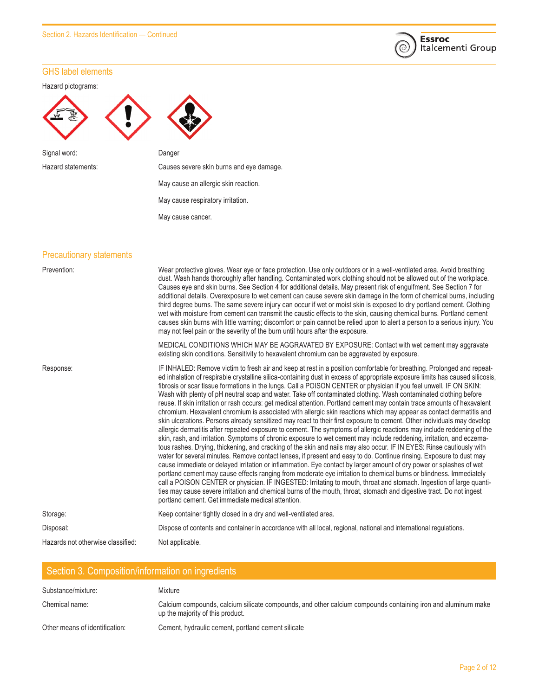

#### GHS label elements

Hazard pictograms:



Signal word: Danger



#### Precautionary statements

| Prevention:                       | Wear protective gloves. Wear eye or face protection. Use only outdoors or in a well-ventilated area. Avoid breathing<br>dust. Wash hands thoroughly after handling. Contaminated work clothing should not be allowed out of the workplace.<br>Causes eye and skin burns. See Section 4 for additional details. May present risk of engulfment. See Section 7 for<br>additional details. Overexposure to wet cement can cause severe skin damage in the form of chemical burns, including<br>third degree burns. The same severe injury can occur if wet or moist skin is exposed to dry portland cement. Clothing<br>wet with moisture from cement can transmit the caustic effects to the skin, causing chemical burns. Portland cement<br>causes skin burns with little warning; discomfort or pain cannot be relied upon to alert a person to a serious injury. You<br>may not feel pain or the severity of the burn until hours after the exposure.                                                                                                                                                                                                                                                                                                                                                                                                                                                                                                                                                                                                                                                                                                                                                                                                                                                                                                                                                                             |
|-----------------------------------|-------------------------------------------------------------------------------------------------------------------------------------------------------------------------------------------------------------------------------------------------------------------------------------------------------------------------------------------------------------------------------------------------------------------------------------------------------------------------------------------------------------------------------------------------------------------------------------------------------------------------------------------------------------------------------------------------------------------------------------------------------------------------------------------------------------------------------------------------------------------------------------------------------------------------------------------------------------------------------------------------------------------------------------------------------------------------------------------------------------------------------------------------------------------------------------------------------------------------------------------------------------------------------------------------------------------------------------------------------------------------------------------------------------------------------------------------------------------------------------------------------------------------------------------------------------------------------------------------------------------------------------------------------------------------------------------------------------------------------------------------------------------------------------------------------------------------------------------------------------------------------------------------------------------------------------|
|                                   | MEDICAL CONDITIONS WHICH MAY BE AGGRAVATED BY EXPOSURE: Contact with wet cement may aggravate<br>existing skin conditions. Sensitivity to hexavalent chromium can be aggravated by exposure.                                                                                                                                                                                                                                                                                                                                                                                                                                                                                                                                                                                                                                                                                                                                                                                                                                                                                                                                                                                                                                                                                                                                                                                                                                                                                                                                                                                                                                                                                                                                                                                                                                                                                                                                        |
| Response:                         | IF INHALED: Remove victim to fresh air and keep at rest in a position comfortable for breathing. Prolonged and repeat-<br>ed inhalation of respirable crystalline silica-containing dust in excess of appropriate exposure limits has caused silicosis,<br>fibrosis or scar tissue formations in the lungs. Call a POISON CENTER or physician if you feel unwell. IF ON SKIN:<br>Wash with plenty of pH neutral soap and water. Take off contaminated clothing. Wash contaminated clothing before<br>reuse. If skin irritation or rash occurs: get medical attention. Portland cement may contain trace amounts of hexavalent<br>chromium. Hexavalent chromium is associated with allergic skin reactions which may appear as contact dermatitis and<br>skin ulcerations. Persons already sensitized may react to their first exposure to cement. Other individuals may develop<br>allergic dermatitis after repeated exposure to cement. The symptoms of allergic reactions may include reddening of the<br>skin, rash, and irritation. Symptoms of chronic exposure to wet cement may include reddening, irritation, and eczema-<br>tous rashes. Drying, thickening, and cracking of the skin and nails may also occur. IF IN EYES: Rinse cautiously with<br>water for several minutes. Remove contact lenses, if present and easy to do. Continue rinsing. Exposure to dust may<br>cause immediate or delayed irritation or inflammation. Eye contact by larger amount of dry power or splashes of wet<br>portland cement may cause effects ranging from moderate eye irritation to chemical burns or blindness. Immediately<br>call a POISON CENTER or physician. IF INGESTED: Irritating to mouth, throat and stomach. Ingestion of large quanti-<br>ties may cause severe irritation and chemical burns of the mouth, throat, stomach and digestive tract. Do not ingest<br>portland cement. Get immediate medical attention. |
| Storage:                          | Keep container tightly closed in a dry and well-ventilated area.                                                                                                                                                                                                                                                                                                                                                                                                                                                                                                                                                                                                                                                                                                                                                                                                                                                                                                                                                                                                                                                                                                                                                                                                                                                                                                                                                                                                                                                                                                                                                                                                                                                                                                                                                                                                                                                                    |
| Disposal:                         | Dispose of contents and container in accordance with all local, regional, national and international regulations.                                                                                                                                                                                                                                                                                                                                                                                                                                                                                                                                                                                                                                                                                                                                                                                                                                                                                                                                                                                                                                                                                                                                                                                                                                                                                                                                                                                                                                                                                                                                                                                                                                                                                                                                                                                                                   |
| Hazards not otherwise classified: | Not applicable.                                                                                                                                                                                                                                                                                                                                                                                                                                                                                                                                                                                                                                                                                                                                                                                                                                                                                                                                                                                                                                                                                                                                                                                                                                                                                                                                                                                                                                                                                                                                                                                                                                                                                                                                                                                                                                                                                                                     |

| Section 3. Composition/information on ingredients |                                                                                                                                                  |  |
|---------------------------------------------------|--------------------------------------------------------------------------------------------------------------------------------------------------|--|
| Substance/mixture:                                | Mixture                                                                                                                                          |  |
| Chemical name:                                    | Calcium compounds, calcium silicate compounds, and other calcium compounds containing iron and aluminum make<br>up the majority of this product. |  |
| Other means of identification:                    | Cement, hydraulic cement, portland cement silicate                                                                                               |  |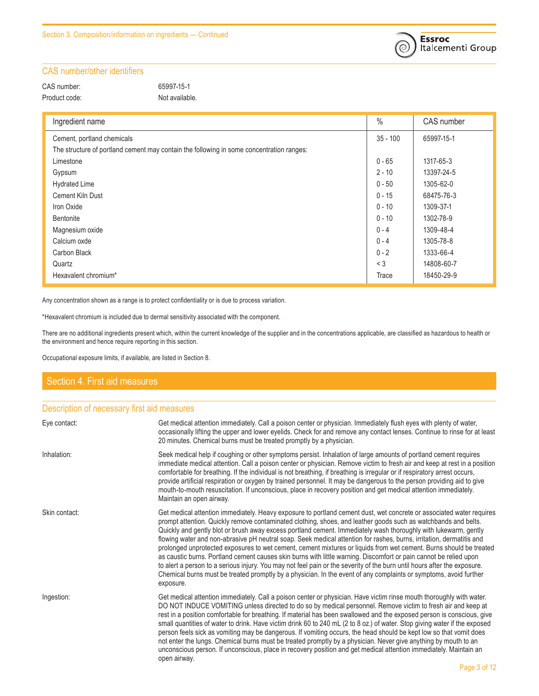

#### CAS number/other identifiers

| CAS number:   |  |
|---------------|--|
| Product code: |  |

65997-15-1 Not available.

| Ingredient name                                                                          | $\%$       | CAS number |
|------------------------------------------------------------------------------------------|------------|------------|
| Cement, portland chemicals                                                               | $35 - 100$ | 65997-15-1 |
| The structure of portland cement may contain the following in some concentration ranges: |            |            |
| Limestone                                                                                | $0 - 65$   | 1317-65-3  |
| Gypsum                                                                                   | $2 - 10$   | 13397-24-5 |
| <b>Hydrated Lime</b>                                                                     | $0 - 50$   | 1305-62-0  |
| Cement Kiln Dust                                                                         | $0 - 15$   | 68475-76-3 |
| Iron Oxide                                                                               | $0 - 10$   | 1309-37-1  |
| Bentonite                                                                                | $0 - 10$   | 1302-78-9  |
| Magnesium oxide                                                                          | $0 - 4$    | 1309-48-4  |
| Calcium oxde                                                                             | $0 - 4$    | 1305-78-8  |
| Carbon Black                                                                             | $0 - 2$    | 1333-66-4  |
| Quartz                                                                                   | $<$ 3      | 14808-60-7 |
| Hexavalent chromium*                                                                     | Trace      | 18450-29-9 |

Any concentration shown as a range is to protect confidentiality or is due to process variation.

\*Hexavalent chromium is included due to dermal sensitivity associated with the component.

There are no additional ingredients present which, within the current knowledge of the supplier and in the concentrations applicable, are classified as hazardous to health or the environment and hence require reporting in this section.

Occupational exposure limits, if available, are listed in Section 8.

#### Section 4. First aid measures

### Description of necessary first aid measures

| Eye contact:  | Get medical attention immediately. Call a poison center or physician. Immediately flush eyes with plenty of water,<br>occasionally lifting the upper and lower eyelids. Check for and remove any contact lenses. Continue to rinse for at least<br>20 minutes. Chemical burns must be treated promptly by a physician.                                                                                                                                                                                                                                                                                                                                                                                                                                                                                                                                                                                                                                                                     |
|---------------|--------------------------------------------------------------------------------------------------------------------------------------------------------------------------------------------------------------------------------------------------------------------------------------------------------------------------------------------------------------------------------------------------------------------------------------------------------------------------------------------------------------------------------------------------------------------------------------------------------------------------------------------------------------------------------------------------------------------------------------------------------------------------------------------------------------------------------------------------------------------------------------------------------------------------------------------------------------------------------------------|
| Inhalation:   | Seek medical help if coughing or other symptoms persist. Inhalation of large amounts of portland cement requires<br>immediate medical attention. Call a poison center or physician. Remove victim to fresh air and keep at rest in a position<br>comfortable for breathing. If the individual is not breathing, if breathing is irregular or if respiratory arrest occurs,<br>provide artificial respiration or oxygen by trained personnel. It may be dangerous to the person providing aid to give<br>mouth-to-mouth resuscitation. If unconscious, place in recovery position and get medical attention immediately.<br>Maintain an open airway.                                                                                                                                                                                                                                                                                                                                        |
| Skin contact: | Get medical attention immediately. Heavy exposure to portland cement dust, wet concrete or associated water requires<br>prompt attention. Quickly remove contaminated clothing, shoes, and leather goods such as watchbands and belts.<br>Quickly and gently blot or brush away excess portland cement. Immediately wash thoroughly with lukewarm, gently<br>flowing water and non-abrasive pH neutral soap. Seek medical attention for rashes, burns, irritation, dermatitis and<br>prolonged unprotected exposures to wet cement, cement mixtures or liquids from wet cement. Burns should be treated<br>as caustic burns. Portland cement causes skin burns with little warning. Discomfort or pain cannot be relied upon<br>to alert a person to a serious injury. You may not feel pain or the severity of the burn until hours after the exposure.<br>Chemical burns must be treated promptly by a physician. In the event of any complaints or symptoms, avoid further<br>exposure. |
| Ingestion:    | Get medical attention immediately. Call a poison center or physician. Have victim rinse mouth thoroughly with water.<br>DO NOT INDUCE VOMITING unless directed to do so by medical personnel. Remove victim to fresh air and keep at<br>rest in a position comfortable for breathing. If material has been swallowed and the exposed person is conscious, give<br>small quantities of water to drink. Have victim drink 60 to 240 mL (2 to 8 oz.) of water. Stop giving water if the exposed<br>person feels sick as vomiting may be dangerous. If vomiting occurs, the head should be kept low so that vomit does<br>not enter the lungs. Chemical burns must be treated promptly by a physician. Never give anything by mouth to an<br>unconscious person. If unconscious, place in recovery position and get medical attention immediately. Maintain an<br>open airway.<br>$\mathbf{r}$ $\mathbf{r}$ $\mathbf{r}$                                                                       |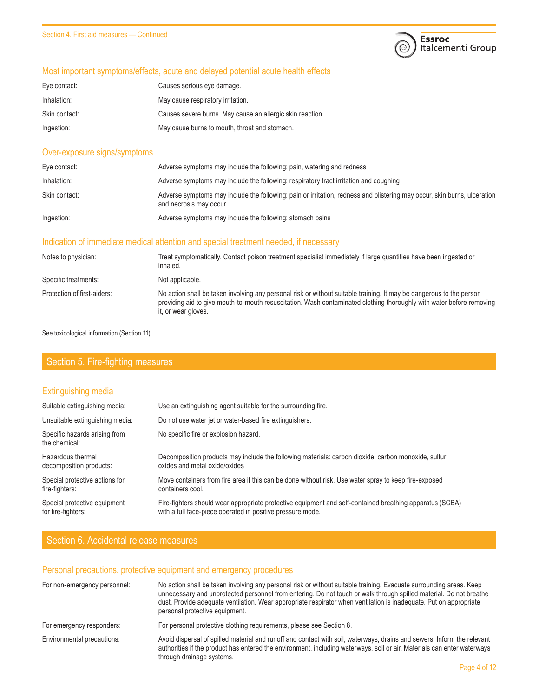

### Most important symptoms/effects, acute and delayed potential acute health effects

| Eve contact:  | Causes serious eye damage.                                |
|---------------|-----------------------------------------------------------|
| Inhalation:   | May cause respiratory irritation.                         |
| Skin contact: | Causes severe burns. May cause an allergic skin reaction. |
| Ingestion:    | May cause burns to mouth, throat and stomach.             |

#### Over-exposure signs/symptoms

| Eye contact:  | Adverse symptoms may include the following: pain, watering and redness                                                                             |
|---------------|----------------------------------------------------------------------------------------------------------------------------------------------------|
| Inhalation:   | Adverse symptoms may include the following: respiratory tract irritation and coughing                                                              |
| Skin contact: | Adverse symptoms may include the following: pain or irritation, redness and blistering may occur, skin burns, ulceration<br>and necrosis may occur |
| Ingestion:    | Adverse symptoms may include the following: stomach pains                                                                                          |

#### Indication of immediate medical attention and special treatment needed, if necessary

| Notes to physician:         | Treat symptomatically. Contact poison treatment specialist immediately if large quantities have been ingested or<br>inhaled.                                                                                                                                        |
|-----------------------------|---------------------------------------------------------------------------------------------------------------------------------------------------------------------------------------------------------------------------------------------------------------------|
| Specific treatments:        | Not applicable.                                                                                                                                                                                                                                                     |
| Protection of first-aiders: | No action shall be taken involving any personal risk or without suitable training. It may be dangerous to the person<br>providing aid to give mouth-to-mouth resuscitation. Wash contaminated clothing thoroughly with water before removing<br>it, or wear gloves. |

See toxicological information (Section 11)

### Section 5. Fire-fighting measures

| <b>Extinguishing media</b>                         |                                                                                                                                                                        |
|----------------------------------------------------|------------------------------------------------------------------------------------------------------------------------------------------------------------------------|
| Suitable extinguishing media:                      | Use an extinguishing agent suitable for the surrounding fire.                                                                                                          |
| Unsuitable extinguishing media:                    | Do not use water jet or water-based fire extinguishers.                                                                                                                |
| Specific hazards arising from<br>the chemical:     | No specific fire or explosion hazard.                                                                                                                                  |
| Hazardous thermal<br>decomposition products:       | Decomposition products may include the following materials: carbon dioxide, carbon monoxide, sulfur<br>oxides and metal oxide/oxides                                   |
| Special protective actions for<br>fire-fighters:   | Move containers from fire area if this can be done without risk. Use water spray to keep fire-exposed<br>containers cool.                                              |
| Special protective equipment<br>for fire-fighters: | Fire-fighters should wear appropriate protective equipment and self-contained breathing apparatus (SCBA)<br>with a full face-piece operated in positive pressure mode. |

### Section 6. Accidental release measures

#### Personal precautions, protective equipment and emergency procedures

| For non-emergency personnel: | No action shall be taken involving any personal risk or without suitable training. Evacuate surrounding areas. Keep<br>unnecessary and unprotected personnel from entering. Do not touch or walk through spilled material. Do not breathe<br>dust. Provide adequate ventilation. Wear appropriate respirator when ventilation is inadequate. Put on appropriate<br>personal protective equipment. |
|------------------------------|---------------------------------------------------------------------------------------------------------------------------------------------------------------------------------------------------------------------------------------------------------------------------------------------------------------------------------------------------------------------------------------------------|
| For emergency responders:    | For personal protective clothing requirements, please see Section 8.                                                                                                                                                                                                                                                                                                                              |
| Environmental precautions:   | Avoid dispersal of spilled material and runoff and contact with soil, waterways, drains and sewers. Inform the relevant<br>authorities if the product has entered the environment, including waterways, soil or air. Materials can enter waterways<br>through drainage systems.                                                                                                                   |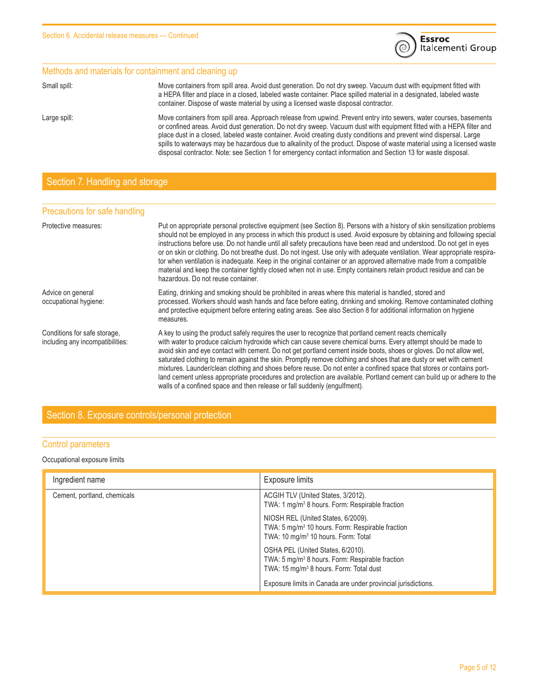

|              | Methods and materials for containment and cleaning up                                                                                                                                                                                                                                                                                                                                                                                                                                                                                                                                                        |
|--------------|--------------------------------------------------------------------------------------------------------------------------------------------------------------------------------------------------------------------------------------------------------------------------------------------------------------------------------------------------------------------------------------------------------------------------------------------------------------------------------------------------------------------------------------------------------------------------------------------------------------|
| Small spill: | Move containers from spill area. Avoid dust generation. Do not dry sweep. Vacuum dust with equipment fitted with<br>a HEPA filter and place in a closed, labeled waste container. Place spilled material in a designated, labeled waste<br>container. Dispose of waste material by using a licensed waste disposal contractor.                                                                                                                                                                                                                                                                               |
| Large spill: | Move containers from spill area. Approach release from upwind. Prevent entry into sewers, water courses, basements<br>or confined areas. Avoid dust generation. Do not dry sweep. Vacuum dust with equipment fitted with a HEPA filter and<br>place dust in a closed, labeled waste container. Avoid creating dusty conditions and prevent wind dispersal. Large<br>spills to waterways may be hazardous due to alkalinity of the product. Dispose of waste material using a licensed waste<br>disposal contractor. Note: see Section 1 for emergency contact information and Section 13 for waste disposal. |

## Section 7. Handling and storage

#### Precautions for safe handling

| Protective measures:                                             | Put on appropriate personal protective equipment (see Section 8). Persons with a history of skin sensitization problems<br>should not be employed in any process in which this product is used. Avoid exposure by obtaining and following special<br>instructions before use. Do not handle until all safety precautions have been read and understood. Do not get in eyes<br>or on skin or clothing. Do not breathe dust. Do not ingest. Use only with adequate ventilation. Wear appropriate respira-<br>tor when ventilation is inadequate. Keep in the original container or an approved alternative made from a compatible<br>material and keep the container tightly closed when not in use. Empty containers retain product residue and can be<br>hazardous. Do not reuse container.           |
|------------------------------------------------------------------|-------------------------------------------------------------------------------------------------------------------------------------------------------------------------------------------------------------------------------------------------------------------------------------------------------------------------------------------------------------------------------------------------------------------------------------------------------------------------------------------------------------------------------------------------------------------------------------------------------------------------------------------------------------------------------------------------------------------------------------------------------------------------------------------------------|
| Advice on general<br>occupational hygiene:                       | Eating, drinking and smoking should be prohibited in areas where this material is handled, stored and<br>processed. Workers should wash hands and face before eating, drinking and smoking. Remove contaminated clothing<br>and protective equipment before entering eating areas. See also Section 8 for additional information on hygiene<br>measures.                                                                                                                                                                                                                                                                                                                                                                                                                                              |
| Conditions for safe storage.<br>including any incompatibilities: | A key to using the product safely requires the user to recognize that portland cement reacts chemically<br>with water to produce calcium hydroxide which can cause severe chemical burns. Every attempt should be made to<br>avoid skin and eye contact with cement. Do not get portland cement inside boots, shoes or gloves. Do not allow wet,<br>saturated clothing to remain against the skin. Promptly remove clothing and shoes that are dusty or wet with cement<br>mixtures. Launder/clean clothing and shoes before reuse. Do not enter a confined space that stores or contains port-<br>land cement unless appropriate procedures and protection are available. Portland cement can build up or adhere to the<br>walls of a confined space and then release or fall suddenly (engulfment). |

### Section 8. Exposure controls/personal protection

#### Control parameters

#### Occupational exposure limits

| Ingredient name             | Exposure limits                                                                                                                                         |  |
|-----------------------------|---------------------------------------------------------------------------------------------------------------------------------------------------------|--|
| Cement, portland, chemicals | ACGIH TLV (United States, 3/2012).<br>TWA: 1 mg/m <sup>3</sup> 8 hours. Form: Respirable fraction                                                       |  |
|                             | NIOSH REL (United States, 6/2009).<br>TWA: 5 mg/m <sup>3</sup> 10 hours. Form: Respirable fraction<br>TWA: 10 mg/m <sup>3</sup> 10 hours. Form: Total   |  |
|                             | OSHA PEL (United States, 6/2010).<br>TWA: 5 mg/m <sup>3</sup> 8 hours. Form: Respirable fraction<br>TWA: 15 mg/m <sup>3</sup> 8 hours. Form: Total dust |  |
|                             | Exposure limits in Canada are under provincial jurisdictions.                                                                                           |  |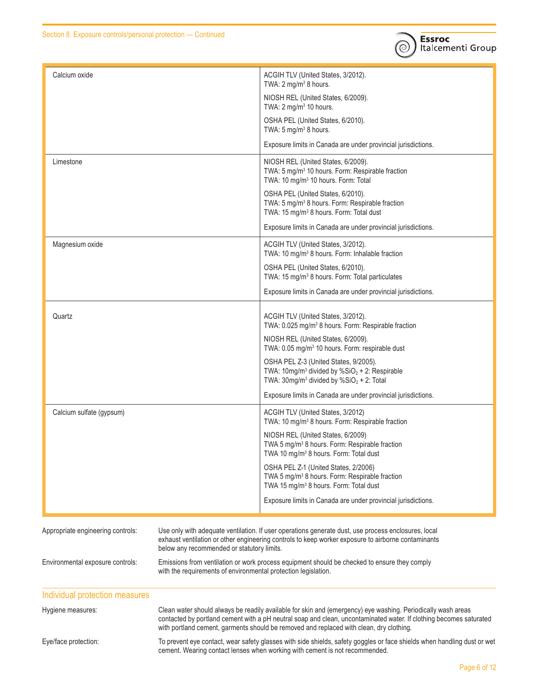

**Essroc**<br>Italcementi Group

| Calcium oxide                     |                                                                                                                                                                                                        | ACGIH TLV (United States, 3/2012).<br>TWA: 2 mg/m <sup>3</sup> 8 hours.                                                                                                                                                                                                                                                       |  |
|-----------------------------------|--------------------------------------------------------------------------------------------------------------------------------------------------------------------------------------------------------|-------------------------------------------------------------------------------------------------------------------------------------------------------------------------------------------------------------------------------------------------------------------------------------------------------------------------------|--|
|                                   |                                                                                                                                                                                                        | NIOSH REL (United States, 6/2009).<br>TWA: $2 \text{ mg/m}^3$ 10 hours.                                                                                                                                                                                                                                                       |  |
|                                   |                                                                                                                                                                                                        | OSHA PEL (United States, 6/2010).<br>TWA: $5 \text{ mg/m}^3$ 8 hours.                                                                                                                                                                                                                                                         |  |
|                                   |                                                                                                                                                                                                        | Exposure limits in Canada are under provincial jurisdictions.                                                                                                                                                                                                                                                                 |  |
| Limestone                         |                                                                                                                                                                                                        | NIOSH REL (United States, 6/2009).<br>TWA: 5 mg/m <sup>3</sup> 10 hours. Form: Respirable fraction<br>TWA: 10 mg/m <sup>3</sup> 10 hours. Form: Total                                                                                                                                                                         |  |
|                                   |                                                                                                                                                                                                        | OSHA PEL (United States, 6/2010).<br>TWA: 5 mg/m <sup>3</sup> 8 hours. Form: Respirable fraction<br>TWA: 15 mg/m <sup>3</sup> 8 hours. Form: Total dust                                                                                                                                                                       |  |
|                                   |                                                                                                                                                                                                        | Exposure limits in Canada are under provincial jurisdictions.                                                                                                                                                                                                                                                                 |  |
| Magnesium oxide                   |                                                                                                                                                                                                        | ACGIH TLV (United States, 3/2012).<br>TWA: 10 mg/m <sup>3</sup> 8 hours. Form: Inhalable fraction                                                                                                                                                                                                                             |  |
|                                   |                                                                                                                                                                                                        | OSHA PEL (United States, 6/2010).<br>TWA: 15 mg/m <sup>3</sup> 8 hours. Form: Total particulates                                                                                                                                                                                                                              |  |
|                                   |                                                                                                                                                                                                        | Exposure limits in Canada are under provincial jurisdictions.                                                                                                                                                                                                                                                                 |  |
| Quartz                            |                                                                                                                                                                                                        | ACGIH TLV (United States, 3/2012).<br>TWA: 0.025 mg/m <sup>3</sup> 8 hours. Form: Respirable fraction                                                                                                                                                                                                                         |  |
|                                   |                                                                                                                                                                                                        | NIOSH REL (United States, 6/2009).<br>TWA: 0.05 mg/m <sup>3</sup> 10 hours. Form: respirable dust                                                                                                                                                                                                                             |  |
|                                   |                                                                                                                                                                                                        | OSHA PEL Z-3 (United States, 9/2005).<br>TWA: 10mg/m <sup>3</sup> divided by %SiO <sub>2</sub> + 2: Respirable<br>TWA: $30$ mg/m <sup>3</sup> divided by %SiO <sub>2</sub> + 2: Total                                                                                                                                         |  |
|                                   |                                                                                                                                                                                                        | Exposure limits in Canada are under provincial jurisdictions.                                                                                                                                                                                                                                                                 |  |
| Calcium sulfate (gypsum)          |                                                                                                                                                                                                        | ACGIH TLV (United States, 3/2012)<br>TWA: 10 mg/m <sup>3</sup> 8 hours. Form: Respirable fraction                                                                                                                                                                                                                             |  |
|                                   |                                                                                                                                                                                                        | NIOSH REL (United States, 6/2009)<br>TWA 5 mg/m <sup>3</sup> 8 hours. Form: Respirable fraction<br>TWA 10 mg/m <sup>3</sup> 8 hours. Form: Total dust                                                                                                                                                                         |  |
|                                   |                                                                                                                                                                                                        | OSHA PEL Z-1 (United States, 2/2006)<br>TWA 5 mg/m <sup>3</sup> 8 hours. Form: Respirable fraction<br>TWA 15 mg/m <sup>3</sup> 8 hours. Form: Total dust                                                                                                                                                                      |  |
|                                   |                                                                                                                                                                                                        | Exposure limits in Canada are under provincial jurisdictions.                                                                                                                                                                                                                                                                 |  |
| Appropriate engineering controls: | below any recommended or statutory limits.                                                                                                                                                             | Use only with adequate ventilation. If user operations generate dust, use process enclosures, local<br>exhaust ventilation or other engineering controls to keep worker exposure to airborne contaminants                                                                                                                     |  |
| Environmental exposure controls:  | Emissions from ventilation or work process equipment should be checked to ensure they comply<br>with the requirements of environmental protection legislation.                                         |                                                                                                                                                                                                                                                                                                                               |  |
| Individual protection measures    |                                                                                                                                                                                                        |                                                                                                                                                                                                                                                                                                                               |  |
| Hygiene measures:                 |                                                                                                                                                                                                        | Clean water should always be readily available for skin and (emergency) eye washing. Periodically wash areas<br>contacted by portland cement with a pH neutral soap and clean, uncontaminated water. If clothing becomes saturated<br>with portland cement, garments should be removed and replaced with clean, dry clothing. |  |
| Eye/face protection:              | To prevent eye contact, wear safety glasses with side shields, safety goggles or face shields when handling dust or wet<br>cement. Wearing contact lenses when working with cement is not recommended. |                                                                                                                                                                                                                                                                                                                               |  |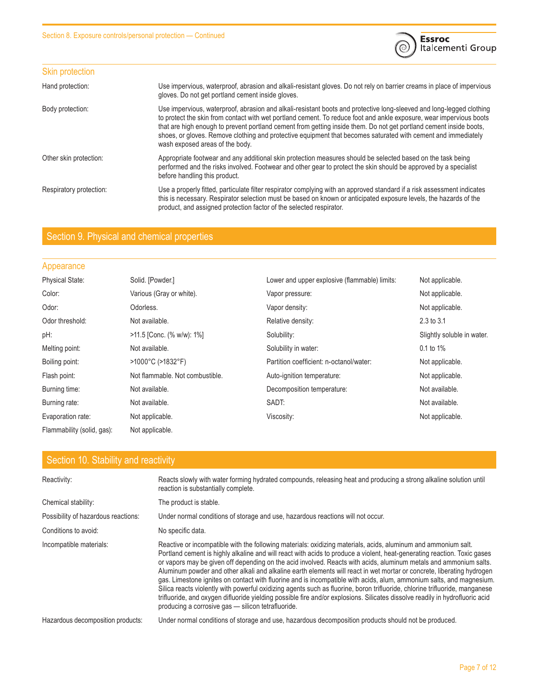

| Use impervious, waterproof, abrasion and alkali-resistant gloves. Do not rely on barrier creams in place of impervious<br>gloves. Do not get portland cement inside gloves.                                                                                                                                                                                                                                                                                                                                           |
|-----------------------------------------------------------------------------------------------------------------------------------------------------------------------------------------------------------------------------------------------------------------------------------------------------------------------------------------------------------------------------------------------------------------------------------------------------------------------------------------------------------------------|
| Use impervious, waterproof, abrasion and alkali-resistant boots and protective long-sleeved and long-legged clothing<br>to protect the skin from contact with wet portland cement. To reduce foot and ankle exposure, wear impervious boots<br>that are high enough to prevent portland cement from getting inside them. Do not get portland cement inside boots,<br>shoes, or gloves. Remove clothing and protective equipment that becomes saturated with cement and immediately<br>wash exposed areas of the body. |
| Appropriate footwear and any additional skin protection measures should be selected based on the task being<br>performed and the risks involved. Footwear and other gear to protect the skin should be approved by a specialist<br>before handling this product.                                                                                                                                                                                                                                                      |
| Use a properly fitted, particulate filter respirator complying with an approved standard if a risk assessment indicates<br>this is necessary. Respirator selection must be based on known or anticipated exposure levels, the hazards of the<br>product, and assigned protection factor of the selected respirator.                                                                                                                                                                                                   |
|                                                                                                                                                                                                                                                                                                                                                                                                                                                                                                                       |

### Section 9. Physical and chemical properties

#### Appearance

| <b>Physical State:</b>     | Solid. [Powder.]                | Lower and upper explosive (flammable) limits: | Not applicable.            |
|----------------------------|---------------------------------|-----------------------------------------------|----------------------------|
| Color:                     | Various (Gray or white).        | Vapor pressure:                               | Not applicable.            |
| Odor:                      | Odorless.                       | Vapor density:                                | Not applicable.            |
| Odor threshold:            | Not available.                  | Relative density:                             | 2.3 to 3.1                 |
| pH:                        | >11.5 [Conc. (% w/w): 1%]       | Solubility:                                   | Slightly soluble in water. |
| Melting point:             | Not available.                  | Solubility in water:                          | 0.1 to 1%                  |
| Boiling point:             | >1000°C (>1832°F)               | Partition coefficient: n-octanol/water:       | Not applicable.            |
| Flash point:               | Not flammable. Not combustible. | Auto-ignition temperature:                    | Not applicable.            |
| Burning time:              | Not available.                  | Decomposition temperature:                    | Not available.             |
| Burning rate:              | Not available.                  | SADT:                                         | Not available.             |
| Evaporation rate:          | Not applicable.                 | Viscosity:                                    | Not applicable.            |
| Flammability (solid, gas): | Not applicable.                 |                                               |                            |

### Section 10. Stability and reactivity

| Reactivity:                         | Reacts slowly with water forming hydrated compounds, releasing heat and producing a strong alkaline solution until<br>reaction is substantially complete.                                                                                                                                                                                                                                                                                                                                                                                                                                                                                                                                                                                                                                                                                                                                                                              |
|-------------------------------------|----------------------------------------------------------------------------------------------------------------------------------------------------------------------------------------------------------------------------------------------------------------------------------------------------------------------------------------------------------------------------------------------------------------------------------------------------------------------------------------------------------------------------------------------------------------------------------------------------------------------------------------------------------------------------------------------------------------------------------------------------------------------------------------------------------------------------------------------------------------------------------------------------------------------------------------|
| Chemical stability:                 | The product is stable.                                                                                                                                                                                                                                                                                                                                                                                                                                                                                                                                                                                                                                                                                                                                                                                                                                                                                                                 |
| Possibility of hazardous reactions: | Under normal conditions of storage and use, hazardous reactions will not occur.                                                                                                                                                                                                                                                                                                                                                                                                                                                                                                                                                                                                                                                                                                                                                                                                                                                        |
| Conditions to avoid:                | No specific data.                                                                                                                                                                                                                                                                                                                                                                                                                                                                                                                                                                                                                                                                                                                                                                                                                                                                                                                      |
| Incompatible materials:             | Reactive or incompatible with the following materials: oxidizing materials, acids, aluminum and ammonium salt.<br>Portland cement is highly alkaline and will react with acids to produce a violent, heat-generating reaction. Toxic gases<br>or vapors may be given off depending on the acid involved. Reacts with acids, aluminum metals and ammonium salts.<br>Aluminum powder and other alkali and alkaline earth elements will react in wet mortar or concrete, liberating hydrogen<br>gas. Limestone ignites on contact with fluorine and is incompatible with acids, alum, ammonium salts, and magnesium.<br>Silica reacts violently with powerful oxidizing agents such as fluorine, boron trifluoride, chlorine trifluoride, manganese<br>trifluoride, and oxygen difluoride yielding possible fire and/or explosions. Silicates dissolve readily in hydrofluoric acid<br>producing a corrosive gas - silicon tetrafluoride. |
| Hazardous decomposition products:   | Under normal conditions of storage and use, hazardous decomposition products should not be produced.                                                                                                                                                                                                                                                                                                                                                                                                                                                                                                                                                                                                                                                                                                                                                                                                                                   |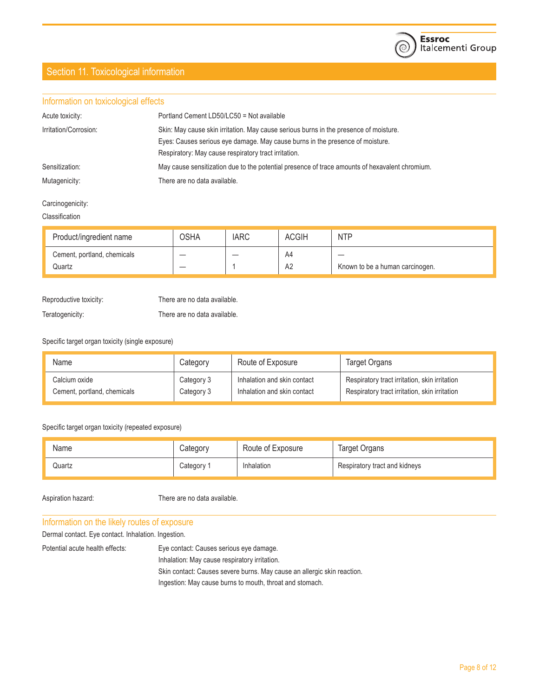

### Section 11. Toxicological information

#### Information on toxicological effects

| Acute toxicity:       | Portland Cement LD50/LC50 = Not available                                                                                                                              |
|-----------------------|------------------------------------------------------------------------------------------------------------------------------------------------------------------------|
| Irritation/Corrosion: | Skin: May cause skin irritation. May cause serious burns in the presence of moisture.<br>Eyes: Causes serious eye damage. May cause burns in the presence of moisture. |
|                       | Respiratory: May cause respiratory tract irritation.                                                                                                                   |
| Sensitization:        | May cause sensitization due to the potential presence of trace amounts of hexavalent chromium.                                                                         |
| Mutagenicity:         | There are no data available.                                                                                                                                           |

#### Carcinogenicity:

#### Classification

| Product/ingredient name               | OSHA | <b>IARC</b> | <b>ACGIH</b>         | <b>NTP</b>                      |
|---------------------------------------|------|-------------|----------------------|---------------------------------|
| Cement, portland, chemicals<br>Quartz | __   |             | A4<br>A <sub>2</sub> | Known to be a human carcinogen. |

Reproductive toxicity: There are no data available.

Teratogenicity: There are no data available.

Specific target organ toxicity (single exposure)

| Name                        | Category   | Route of Exposure           | Target Organs                                 |
|-----------------------------|------------|-----------------------------|-----------------------------------------------|
| Calcium oxide               | Category 3 | Inhalation and skin contact | Respiratory tract irritation, skin irritation |
| Cement, portland, chemicals | Category 3 | Inhalation and skin contact | Respiratory tract irritation, skin irritation |

#### Specific target organ toxicity (repeated exposure)

| Name   | $\mathsf{C}$ ategory | Route of Exposure | Target Organs                 |
|--------|----------------------|-------------------|-------------------------------|
| Quartz | Category '           | Inhalation        | Respiratory tract and kidneys |

Aspiration hazard: There are no data available.

#### Information on the likely routes of exposure

Dermal contact. Eye contact. Inhalation. Ingestion.

Potential acute health effects: Eye contact: Causes serious eye damage.

Inhalation: May cause respiratory irritation.

Skin contact: Causes severe burns. May cause an allergic skin reaction.

Ingestion: May cause burns to mouth, throat and stomach.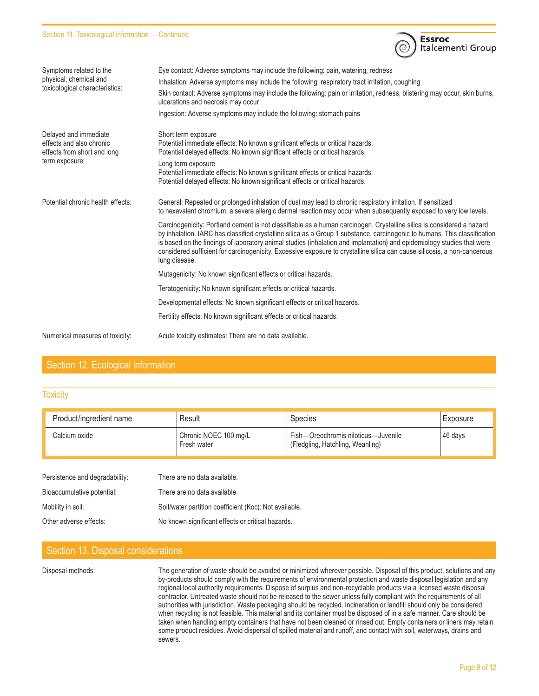#### Section 11. Toxicological information — Continued



#### Section 12. Ecological information

#### **Toxicity**

| Product/ingredient name                                                     |  | Result                                                 | <b>Species</b>                                                          |  | Exposure |
|-----------------------------------------------------------------------------|--|--------------------------------------------------------|-------------------------------------------------------------------------|--|----------|
| Calcium oxide                                                               |  | Chronic NOEC 100 mg/L<br>Fresh water                   | Fish-Oreochromis niloticus-Juvenile<br>(Fledgling, Hatchling, Weanling) |  | 46 days  |
| Persistence and degradability:                                              |  | There are no data available.                           |                                                                         |  |          |
| Bioaccumulative potential:<br>There are no data available.                  |  |                                                        |                                                                         |  |          |
| Mobility in soil:                                                           |  | Soil/water partition coefficient (Koc): Not available. |                                                                         |  |          |
| Other adverse effects:<br>No known significant effects or critical hazards. |  |                                                        |                                                                         |  |          |

#### Section 13. Disposal considerations

Disposal methods: The generation of waste should be avoided or minimized wherever possible. Disposal of this product, solutions and any by-products should comply with the requirements of environmental protection and waste disposal legislation and any regional local authority requirements. Dispose of surplus and non-recyclable products via a licensed waste disposal contractor. Untreated waste should not be released to the sewer unless fully compliant with the requirements of all authorities with jurisdiction. Waste packaging should be recycled. Incineration or landfill should only be considered when recycling is not feasible. This material and its container must be disposed of in a safe manner. Care should be taken when handling empty containers that have not been cleaned or rinsed out. Empty containers or liners may retain some product residues. Avoid dispersal of spilled material and runoff, and contact with soil, waterways, drains and sewers.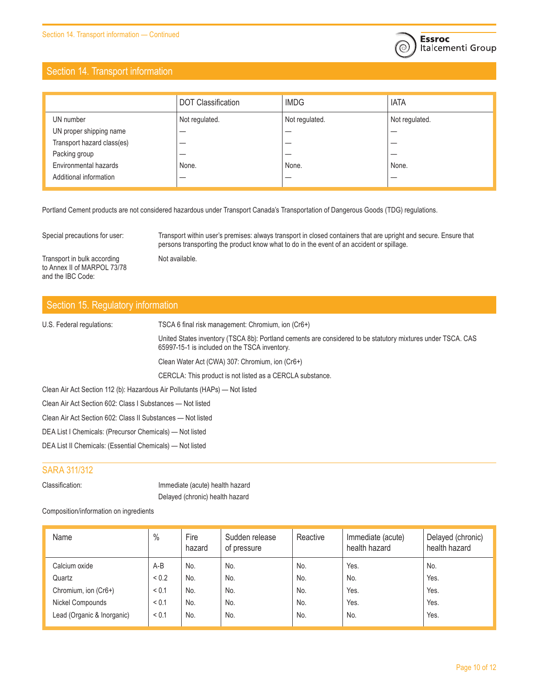

### Section 14. Transport information

|                            | <b>DOT Classification</b> | <b>IMDG</b>    | <b>IATA</b>    |
|----------------------------|---------------------------|----------------|----------------|
| UN number                  | Not regulated.            | Not regulated. | Not regulated. |
| UN proper shipping name    |                           |                |                |
| Transport hazard class(es) |                           |                |                |
| Packing group              | __                        |                |                |
| Environmental hazards      | None.                     | None.          | None.          |
| Additional information     |                           |                |                |

Portland Cement products are not considered hazardous under Transport Canada's Transportation of Dangerous Goods (TDG) regulations.

Special precautions for user: Transport within user's premises: always transport in closed containers that are upright and secure. Ensure that persons transporting the product know what to do in the event of an accident or spillage.

Transport in bulk according Not available. to Annex II of MARPOL 73/78 and the IBC Code:

### Section 15. Regulatory information

| U.S. Federal regulations:                                   | TSCA 6 final risk management: Chromium, ion (Cr6+)                                                                                                           |  |  |
|-------------------------------------------------------------|--------------------------------------------------------------------------------------------------------------------------------------------------------------|--|--|
|                                                             | United States inventory (TSCA 8b): Portland cements are considered to be statutory mixtures under TSCA. CAS<br>65997-15-1 is included on the TSCA inventory. |  |  |
|                                                             | Clean Water Act (CWA) 307: Chromium, ion (Cr6+)                                                                                                              |  |  |
|                                                             | CERCLA: This product is not listed as a CERCLA substance.                                                                                                    |  |  |
|                                                             | Clean Air Act Section 112 (b): Hazardous Air Pollutants (HAPs) — Not listed                                                                                  |  |  |
| Clean Air Act Section 602: Class I Substances — Not listed  |                                                                                                                                                              |  |  |
| Clean Air Act Section 602: Class II Substances — Not listed |                                                                                                                                                              |  |  |

DEA List I Chemicals: (Precursor Chemicals) — Not listed

DEA List II Chemicals: (Essential Chemicals) — Not listed

#### SARA 311/312

Classification: Immediate (acute) health hazard Delayed (chronic) health hazard

Composition/information on ingredients

| Name                       | $\frac{0}{0}$ | Fire<br>hazard | Sudden release<br>of pressure | Reactive | Immediate (acute)<br>health hazard | Delayed (chronic)<br>health hazard |
|----------------------------|---------------|----------------|-------------------------------|----------|------------------------------------|------------------------------------|
| Calcium oxide              | $A-B$         | No.            | No.                           | No.      | Yes.                               | No.                                |
| Quartz                     | ${}_{0.2}$    | No.            | No.                           | No.      | No.                                | Yes.                               |
| Chromium, ion (Cr6+)       | < 0.1         | No.            | No.                           | No.      | Yes.                               | Yes.                               |
| Nickel Compounds           | < 0.1         | No.            | No.                           | No.      | Yes.                               | Yes.                               |
| Lead (Organic & Inorganic) | < 0.1         | No.            | No.                           | No.      | No.                                | Yes.                               |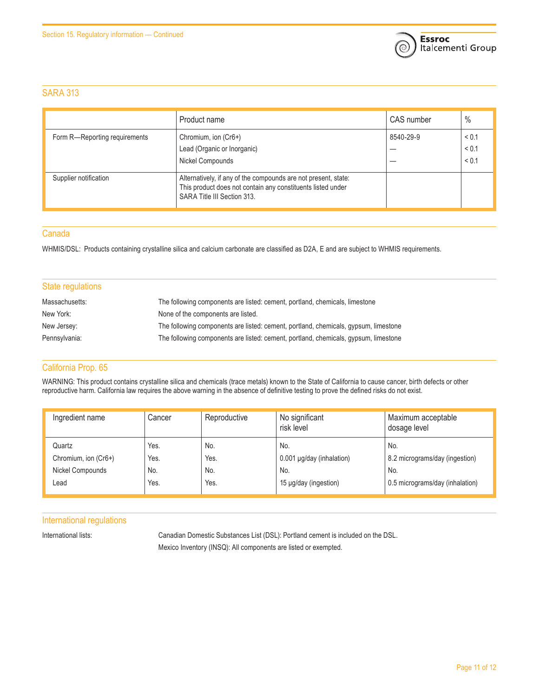

#### SARA 313

|                               | Product name                                                                                                                                                 | CAS number | $\frac{0}{0}$           |
|-------------------------------|--------------------------------------------------------------------------------------------------------------------------------------------------------------|------------|-------------------------|
| Form R-Reporting requirements | Chromium, ion (Cr6+)<br>Lead (Organic or Inorganic)<br>Nickel Compounds                                                                                      | 8540-29-9  | < 0.1<br>3 0.1<br>< 0.1 |
| Supplier notification         | Alternatively, if any of the compounds are not present, state:<br>This product does not contain any constituents listed under<br>SARA Title III Section 313. |            |                         |

#### Canada

WHMIS/DSL: Products containing crystalline silica and calcium carbonate are classified as D2A, E and are subject to WHMIS requirements.

| <b>State regulations</b> |                                                                                     |
|--------------------------|-------------------------------------------------------------------------------------|
| Massachusetts:           | The following components are listed: cement, portland, chemicals, limestone         |
| New York:                | None of the components are listed.                                                  |
| New Jersey:              | The following components are listed: cement, portland, chemicals, gypsum, limestone |
| Pennsylvania:            | The following components are listed: cement, portland, chemicals, gypsum, limestone |
|                          |                                                                                     |

#### California Prop. 65

WARNING: This product contains crystalline silica and chemicals (trace metals) known to the State of California to cause cancer, birth defects or other reproductive harm. California law requires the above warning in the absence of definitive testing to prove the defined risks do not exist.

| Ingredient name      | Cancer | Reproductive | No significant<br>risk level | Maximum acceptable<br>dosage level |
|----------------------|--------|--------------|------------------------------|------------------------------------|
| Quartz               | Yes.   | No.          | No.                          | No.                                |
| Chromium, ion (Cr6+) | Yes.   | Yes.         | 0.001 µg/day (inhalation)    | 8.2 micrograms/day (ingestion)     |
| Nickel Compounds     | No.    | No.          | No.                          | No.                                |
| Lead                 | Yes.   | Yes.         | 15 µg/day (ingestion)        | 0.5 micrograms/day (inhalation)    |

#### International regulations

International lists: Canadian Domestic Substances List (DSL): Portland cement is included on the DSL. Mexico Inventory (INSQ): All components are listed or exempted.